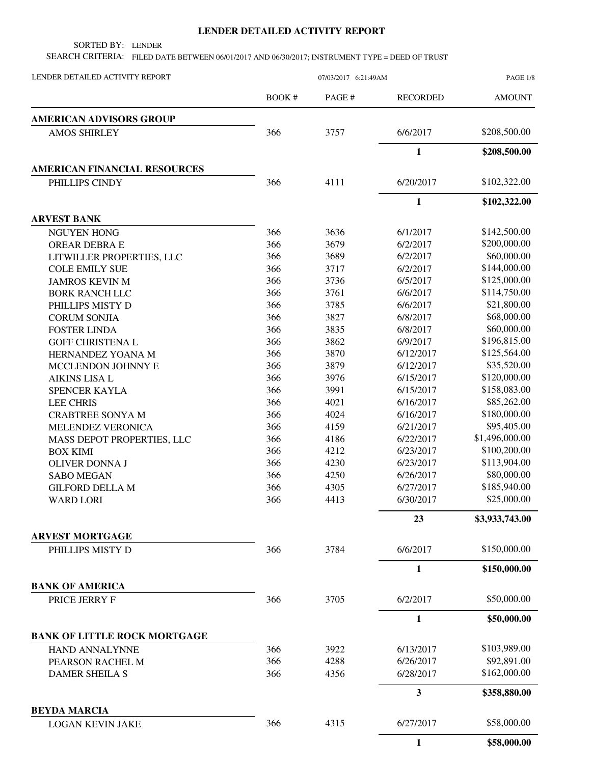## **LENDER DETAILED ACTIVITY REPORT**

SORTED BY: LENDER

SEARCH CRITERIA: FILED DATE BETWEEN 06/01/2017 AND 06/30/2017; INSTRUMENT TYPE = DEED OF TRUST

| LENDER DETAILED ACTIVITY REPORT     | 07/03/2017 6:21:49AM |       |                 | PAGE 1/8       |
|-------------------------------------|----------------------|-------|-----------------|----------------|
|                                     | BOOK #               | PAGE# | <b>RECORDED</b> | <b>AMOUNT</b>  |
| <b>AMERICAN ADVISORS GROUP</b>      |                      |       |                 |                |
| <b>AMOS SHIRLEY</b>                 | 366                  | 3757  | 6/6/2017        | \$208,500.00   |
|                                     |                      |       | $\mathbf{1}$    | \$208,500.00   |
| <b>AMERICAN FINANCIAL RESOURCES</b> |                      |       |                 |                |
| PHILLIPS CINDY                      | 366                  | 4111  | 6/20/2017       | \$102,322.00   |
|                                     |                      |       | $\mathbf{1}$    | \$102,322.00   |
| <b>ARVEST BANK</b>                  |                      |       |                 |                |
| <b>NGUYEN HONG</b>                  | 366                  | 3636  | 6/1/2017        | \$142,500.00   |
| OREAR DEBRA E                       | 366                  | 3679  | 6/2/2017        | \$200,000.00   |
| LITWILLER PROPERTIES, LLC           | 366                  | 3689  | 6/2/2017        | \$60,000.00    |
| <b>COLE EMILY SUE</b>               | 366                  | 3717  | 6/2/2017        | \$144,000.00   |
| <b>JAMROS KEVIN M</b>               | 366                  | 3736  | 6/5/2017        | \$125,000.00   |
| <b>BORK RANCH LLC</b>               | 366                  | 3761  | 6/6/2017        | \$114,750.00   |
| PHILLIPS MISTY D                    | 366                  | 3785  | 6/6/2017        | \$21,800.00    |
| <b>CORUM SONJIA</b>                 | 366                  | 3827  | 6/8/2017        | \$68,000.00    |
| <b>FOSTER LINDA</b>                 | 366                  | 3835  | 6/8/2017        | \$60,000.00    |
| <b>GOFF CHRISTENA L</b>             | 366                  | 3862  | 6/9/2017        | \$196,815.00   |
| HERNANDEZ YOANA M                   | 366                  | 3870  | 6/12/2017       | \$125,564.00   |
| MCCLENDON JOHNNY E                  | 366                  | 3879  | 6/12/2017       | \$35,520.00    |
| <b>AIKINS LISA L</b>                | 366                  | 3976  | 6/15/2017       | \$120,000.00   |
| SPENCER KAYLA                       | 366                  | 3991  | 6/15/2017       | \$158,083.00   |
| <b>LEE CHRIS</b>                    | 366                  | 4021  | 6/16/2017       | \$85,262.00    |
| <b>CRABTREE SONYA M</b>             | 366                  | 4024  | 6/16/2017       | \$180,000.00   |
| MELENDEZ VERONICA                   | 366                  | 4159  | 6/21/2017       | \$95,405.00    |
| MASS DEPOT PROPERTIES, LLC          | 366                  | 4186  | 6/22/2017       | \$1,496,000.00 |
| <b>BOX KIMI</b>                     | 366                  | 4212  | 6/23/2017       | \$100,200.00   |
| <b>OLIVER DONNA J</b>               | 366                  | 4230  | 6/23/2017       | \$113,904.00   |
| <b>SABO MEGAN</b>                   | 366                  | 4250  | 6/26/2017       | \$80,000.00    |
| <b>GILFORD DELLA M</b>              | 366                  | 4305  | 6/27/2017       | \$185,940.00   |
| <b>WARD LORI</b>                    | 366                  | 4413  | 6/30/2017       | \$25,000.00    |
|                                     |                      |       | 23              | \$3,933,743.00 |
| <b>ARVEST MORTGAGE</b>              |                      |       |                 |                |
| PHILLIPS MISTY D                    | 366                  | 3784  | 6/6/2017        | \$150,000.00   |
|                                     |                      |       | $\mathbf{1}$    | \$150,000.00   |
| <b>BANK OF AMERICA</b>              |                      |       |                 |                |
| PRICE JERRY F                       | 366                  | 3705  | 6/2/2017        | \$50,000.00    |
|                                     |                      |       | 1               | \$50,000.00    |
| <b>BANK OF LITTLE ROCK MORTGAGE</b> |                      |       |                 |                |
| HAND ANNALYNNE                      | 366                  | 3922  | 6/13/2017       | \$103,989.00   |
| PEARSON RACHEL M                    | 366                  | 4288  | 6/26/2017       | \$92,891.00    |
| <b>DAMER SHEILA S</b>               | 366                  | 4356  | 6/28/2017       | \$162,000.00   |
|                                     |                      |       | 3               | \$358,880.00   |
| <b>BEYDA MARCIA</b>                 |                      |       |                 |                |
| <b>LOGAN KEVIN JAKE</b>             | 366                  | 4315  | 6/27/2017       | \$58,000.00    |
|                                     |                      |       | 1               | \$58,000.00    |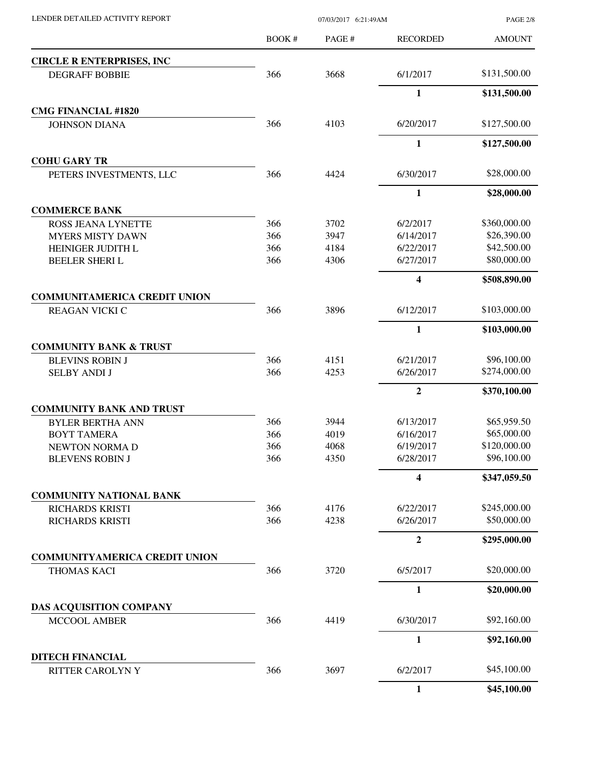| LENDER DETAILED ACTIVITY REPORT |  |
|---------------------------------|--|
|                                 |  |

07/03/2017 6:21:49AM

PAGE 2/8

|                                      | <b>BOOK#</b> | PAGE# | <b>RECORDED</b>         | <b>AMOUNT</b> |
|--------------------------------------|--------------|-------|-------------------------|---------------|
| <b>CIRCLE R ENTERPRISES, INC</b>     |              |       |                         |               |
| <b>DEGRAFF BOBBIE</b>                | 366          | 3668  | 6/1/2017                | \$131,500.00  |
|                                      |              |       | $\mathbf{1}$            | \$131,500.00  |
| <b>CMG FINANCIAL #1820</b>           |              |       |                         |               |
| <b>JOHNSON DIANA</b>                 | 366          | 4103  | 6/20/2017               | \$127,500.00  |
|                                      |              |       | 1                       | \$127,500.00  |
| <b>COHU GARY TR</b>                  |              |       |                         |               |
| PETERS INVESTMENTS, LLC              | 366          | 4424  | 6/30/2017               | \$28,000.00   |
|                                      |              |       | $\mathbf{1}$            | \$28,000.00   |
| <b>COMMERCE BANK</b>                 |              |       |                         |               |
| ROSS JEANA LYNETTE                   | 366          | 3702  | 6/2/2017                | \$360,000.00  |
| <b>MYERS MISTY DAWN</b>              | 366          | 3947  | 6/14/2017               | \$26,390.00   |
| HEINIGER JUDITH L                    | 366          | 4184  | 6/22/2017               | \$42,500.00   |
| <b>BEELER SHERIL</b>                 | 366          | 4306  | 6/27/2017               | \$80,000.00   |
|                                      |              |       | $\overline{\mathbf{4}}$ | \$508,890.00  |
| <b>COMMUNITAMERICA CREDIT UNION</b>  |              |       |                         |               |
| <b>REAGAN VICKI C</b>                | 366          | 3896  | 6/12/2017               | \$103,000.00  |
|                                      |              |       | $\mathbf{1}$            | \$103,000.00  |
| <b>COMMUNITY BANK &amp; TRUST</b>    |              |       |                         |               |
| <b>BLEVINS ROBIN J</b>               | 366          | 4151  | 6/21/2017               | \$96,100.00   |
| <b>SELBY ANDI J</b>                  | 366          | 4253  | 6/26/2017               | \$274,000.00  |
|                                      |              |       | $\boldsymbol{2}$        | \$370,100.00  |
| <b>COMMUNITY BANK AND TRUST</b>      |              |       |                         |               |
| <b>BYLER BERTHA ANN</b>              | 366          | 3944  | 6/13/2017               | \$65,959.50   |
| <b>BOYT TAMERA</b>                   | 366          | 4019  | 6/16/2017               | \$65,000.00   |
| NEWTON NORMA D                       | 366          | 4068  | 6/19/2017               | \$120,000.00  |
| <b>BLEVENS ROBIN J</b>               | 366          | 4350  | 6/28/2017               | \$96,100.00   |
|                                      |              |       | 4                       | \$347,059.50  |
| <b>COMMUNITY NATIONAL BANK</b>       |              |       |                         |               |
| <b>RICHARDS KRISTI</b>               | 366          | 4176  | 6/22/2017               | \$245,000.00  |
| <b>RICHARDS KRISTI</b>               | 366          | 4238  | 6/26/2017               | \$50,000.00   |
|                                      |              |       | $\overline{2}$          | \$295,000.00  |
| <b>COMMUNITYAMERICA CREDIT UNION</b> |              |       |                         |               |
| THOMAS KACI                          | 366          | 3720  | 6/5/2017                | \$20,000.00   |
|                                      |              |       | $\mathbf{1}$            | \$20,000.00   |
| <b>DAS ACQUISITION COMPANY</b>       |              |       |                         |               |
| MCCOOL AMBER                         | 366          | 4419  | 6/30/2017               | \$92,160.00   |
|                                      |              |       | $\mathbf{1}$            | \$92,160.00   |
| <b>DITECH FINANCIAL</b>              |              |       |                         |               |
| RITTER CAROLYN Y                     | 366          | 3697  | 6/2/2017                | \$45,100.00   |
|                                      |              |       | $\mathbf{1}$            | \$45,100.00   |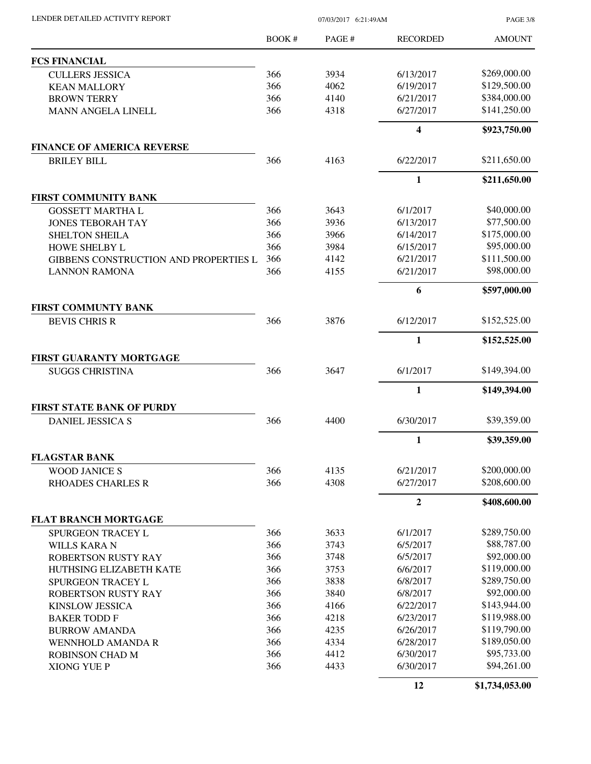| LENDER DETAILED ACTIVITY REPORT                   | 07/03/2017 6:21:49AM |        |                         | <b>PAGE 3/8</b> |
|---------------------------------------------------|----------------------|--------|-------------------------|-----------------|
|                                                   | BOOK #               | PAGE # | <b>RECORDED</b>         | <b>AMOUNT</b>   |
| <b>FCS FINANCIAL</b>                              |                      |        |                         |                 |
| <b>CULLERS JESSICA</b>                            | 366                  | 3934   | 6/13/2017               | \$269,000.00    |
| <b>KEAN MALLORY</b>                               | 366                  | 4062   | 6/19/2017               | \$129,500.00    |
| <b>BROWN TERRY</b>                                | 366                  | 4140   | 6/21/2017               | \$384,000.00    |
| <b>MANN ANGELA LINELL</b>                         | 366                  | 4318   | 6/27/2017               | \$141,250.00    |
|                                                   |                      |        | $\overline{\mathbf{4}}$ | \$923,750.00    |
| <b>FINANCE OF AMERICA REVERSE</b>                 |                      |        |                         |                 |
| <b>BRILEY BILL</b>                                | 366                  | 4163   | 6/22/2017               | \$211,650.00    |
|                                                   |                      |        | $\mathbf{1}$            | \$211,650.00    |
| FIRST COMMUNITY BANK                              |                      |        |                         |                 |
| <b>GOSSETT MARTHA L</b>                           | 366                  | 3643   | 6/1/2017                | \$40,000.00     |
| <b>JONES TEBORAH TAY</b>                          | 366                  | 3936   | 6/13/2017               | \$77,500.00     |
| <b>SHELTON SHEILA</b>                             | 366                  | 3966   | 6/14/2017               | \$175,000.00    |
| HOWE SHELBY L                                     | 366                  | 3984   | 6/15/2017               | \$95,000.00     |
| GIBBENS CONSTRUCTION AND PROPERTIES L             | 366                  | 4142   | 6/21/2017               | \$111,500.00    |
| <b>LANNON RAMONA</b>                              | 366                  | 4155   | 6/21/2017               | \$98,000.00     |
|                                                   |                      |        | 6                       | \$597,000.00    |
| <b>FIRST COMMUNTY BANK</b>                        |                      |        |                         |                 |
| <b>BEVIS CHRIS R</b>                              | 366                  | 3876   | 6/12/2017               | \$152,525.00    |
|                                                   |                      |        | $\mathbf{1}$            | \$152,525.00    |
| FIRST GUARANTY MORTGAGE<br><b>SUGGS CHRISTINA</b> | 366                  | 3647   | 6/1/2017                | \$149,394.00    |
|                                                   |                      |        | $\mathbf{1}$            | \$149,394.00    |
| <b>FIRST STATE BANK OF PURDY</b>                  |                      |        |                         |                 |
| <b>DANIEL JESSICA S</b>                           | 366                  | 4400   | 6/30/2017               | \$39,359.00     |
|                                                   |                      |        | $\mathbf{1}$            | \$39,359.00     |
| <b>FLAGSTAR BANK</b>                              |                      |        |                         |                 |
| <b>WOOD JANICE S</b>                              | 366                  | 4135   | 6/21/2017               | \$200,000.00    |
| <b>RHOADES CHARLES R</b>                          | 366                  | 4308   | 6/27/2017               | \$208,600.00    |
|                                                   |                      |        | $\boldsymbol{2}$        | \$408,600.00    |
| <b>FLAT BRANCH MORTGAGE</b>                       |                      |        |                         |                 |
| <b>SPURGEON TRACEY L</b>                          | 366                  | 3633   | 6/1/2017                | \$289,750.00    |
| <b>WILLS KARA N</b>                               | 366                  | 3743   | 6/5/2017                | \$88,787.00     |
| ROBERTSON RUSTY RAY                               | 366                  | 3748   | 6/5/2017                | \$92,000.00     |
| HUTHSING ELIZABETH KATE                           | 366                  | 3753   | 6/6/2017                | \$119,000.00    |
| <b>SPURGEON TRACEY L</b>                          | 366                  | 3838   | 6/8/2017                | \$289,750.00    |
| ROBERTSON RUSTY RAY                               | 366                  | 3840   | 6/8/2017                | \$92,000.00     |
| <b>KINSLOW JESSICA</b>                            | 366                  | 4166   | 6/22/2017               | \$143,944.00    |
| <b>BAKER TODD F</b>                               | 366                  | 4218   | 6/23/2017               | \$119,988.00    |
| <b>BURROW AMANDA</b>                              | 366                  | 4235   | 6/26/2017               | \$119,790.00    |
| <b>WENNHOLD AMANDA R</b>                          | 366                  | 4334   | 6/28/2017               | \$189,050.00    |
| <b>ROBINSON CHAD M</b>                            | 366                  | 4412   | 6/30/2017               | \$95,733.00     |
| <b>XIONG YUE P</b>                                | 366                  | 4433   | 6/30/2017               | \$94,261.00     |
|                                                   |                      |        | 12                      | \$1,734,053.00  |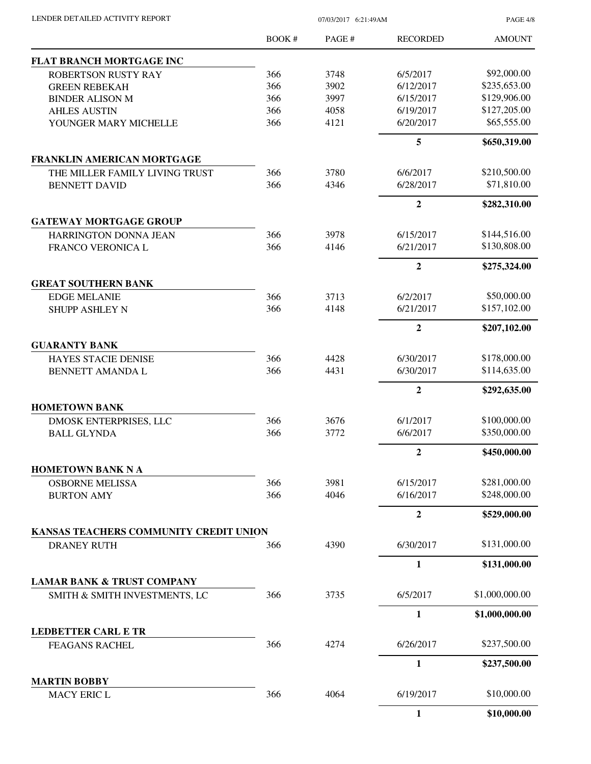| LENDER DETAILED ACTIVITY REPORT | 07/03/2017 6:21:49AM |
|---------------------------------|----------------------|

PAGE 4/8

|                                           | BOOK# | PAGE# | <b>RECORDED</b> | <b>AMOUNT</b>  |
|-------------------------------------------|-------|-------|-----------------|----------------|
| FLAT BRANCH MORTGAGE INC                  |       |       |                 |                |
| <b>ROBERTSON RUSTY RAY</b>                | 366   | 3748  | 6/5/2017        | \$92,000.00    |
| <b>GREEN REBEKAH</b>                      | 366   | 3902  | 6/12/2017       | \$235,653.00   |
| <b>BINDER ALISON M</b>                    | 366   | 3997  | 6/15/2017       | \$129,906.00   |
| <b>AHLES AUSTIN</b>                       | 366   | 4058  | 6/19/2017       | \$127,205.00   |
| YOUNGER MARY MICHELLE                     | 366   | 4121  | 6/20/2017       | \$65,555.00    |
|                                           |       |       | 5               | \$650,319.00   |
| <b>FRANKLIN AMERICAN MORTGAGE</b>         |       |       |                 |                |
| THE MILLER FAMILY LIVING TRUST            | 366   | 3780  | 6/6/2017        | \$210,500.00   |
| <b>BENNETT DAVID</b>                      | 366   | 4346  | 6/28/2017       | \$71,810.00    |
|                                           |       |       | $\overline{2}$  | \$282,310.00   |
| <b>GATEWAY MORTGAGE GROUP</b>             |       |       |                 |                |
| HARRINGTON DONNA JEAN                     | 366   | 3978  | 6/15/2017       | \$144,516.00   |
| <b>FRANCO VERONICA L</b>                  | 366   | 4146  | 6/21/2017       | \$130,808.00   |
|                                           |       |       | $\overline{2}$  | \$275,324.00   |
| <b>GREAT SOUTHERN BANK</b>                |       |       |                 |                |
| <b>EDGE MELANIE</b>                       | 366   | 3713  | 6/2/2017        | \$50,000.00    |
| <b>SHUPP ASHLEY N</b>                     | 366   | 4148  | 6/21/2017       | \$157,102.00   |
|                                           |       |       | $\overline{2}$  | \$207,102.00   |
| <b>GUARANTY BANK</b>                      |       |       |                 |                |
| HAYES STACIE DENISE                       | 366   | 4428  | 6/30/2017       | \$178,000.00   |
| BENNETT AMANDA L                          | 366   | 4431  | 6/30/2017       | \$114,635.00   |
|                                           |       |       | $\overline{2}$  | \$292,635.00   |
| <b>HOMETOWN BANK</b>                      |       |       |                 |                |
| DMOSK ENTERPRISES, LLC                    | 366   | 3676  | 6/1/2017        | \$100,000.00   |
| <b>BALL GLYNDA</b>                        | 366   | 3772  | 6/6/2017        | \$350,000.00   |
|                                           |       |       | $\overline{2}$  | \$450,000.00   |
| <b>HOMETOWN BANK N A</b>                  |       |       |                 |                |
| <b>OSBORNE MELISSA</b>                    | 366   | 3981  | 6/15/2017       | \$281,000.00   |
| <b>BURTON AMY</b>                         | 366   | 4046  | 6/16/2017       | \$248,000.00   |
|                                           |       |       | $\overline{2}$  | \$529,000.00   |
| KANSAS TEACHERS COMMUNITY CREDIT UNION    |       |       |                 |                |
| <b>DRANEY RUTH</b>                        | 366   | 4390  | 6/30/2017       | \$131,000.00   |
|                                           |       |       | $\mathbf{1}$    | \$131,000.00   |
| <b>LAMAR BANK &amp; TRUST COMPANY</b>     |       |       |                 |                |
| SMITH & SMITH INVESTMENTS, LC             | 366   | 3735  | 6/5/2017        | \$1,000,000.00 |
|                                           |       |       | $\mathbf{1}$    | \$1,000,000.00 |
| <b>LEDBETTER CARL E TR</b>                |       |       |                 |                |
| <b>FEAGANS RACHEL</b>                     | 366   | 4274  | 6/26/2017       | \$237,500.00   |
|                                           |       |       | 1               | \$237,500.00   |
| <b>MARTIN BOBBY</b><br><b>MACY ERIC L</b> | 366   | 4064  | 6/19/2017       | \$10,000.00    |
|                                           |       |       |                 |                |
|                                           |       |       | $\mathbf{1}$    | \$10,000.00    |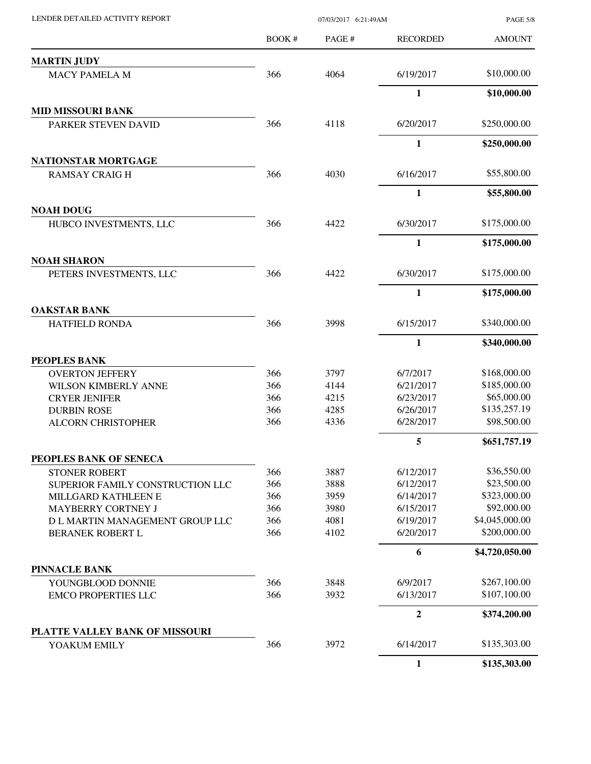| LENDER DETAILED ACTIVITY REPORT                            | 07/03/2017 6:21:49AM |              |                        | <b>PAGE 5/8</b>             |
|------------------------------------------------------------|----------------------|--------------|------------------------|-----------------------------|
|                                                            | <b>BOOK#</b>         | PAGE#        | <b>RECORDED</b>        | <b>AMOUNT</b>               |
| <b>MARTIN JUDY</b>                                         |                      |              |                        |                             |
| <b>MACY PAMELA M</b>                                       | 366                  | 4064         | 6/19/2017              | \$10,000.00                 |
|                                                            |                      |              | 1                      | \$10,000.00                 |
| <b>MID MISSOURI BANK</b>                                   |                      |              |                        |                             |
| PARKER STEVEN DAVID                                        | 366                  | 4118         | 6/20/2017              | \$250,000.00                |
|                                                            |                      |              | 1                      | \$250,000.00                |
| NATIONSTAR MORTGAGE                                        |                      |              |                        |                             |
| <b>RAMSAY CRAIGH</b>                                       | 366                  | 4030         | 6/16/2017              | \$55,800.00                 |
|                                                            |                      |              | 1                      | \$55,800.00                 |
| <b>NOAH DOUG</b><br>HUBCO INVESTMENTS, LLC                 | 366                  | 4422         | 6/30/2017              | \$175,000.00                |
|                                                            |                      |              |                        |                             |
| <b>NOAH SHARON</b>                                         |                      |              | $\mathbf{1}$           | \$175,000.00                |
| PETERS INVESTMENTS, LLC                                    | 366                  | 4422         | 6/30/2017              | \$175,000.00                |
|                                                            |                      |              | $\mathbf{1}$           | \$175,000.00                |
| <b>OAKSTAR BANK</b>                                        |                      |              |                        |                             |
| HATFIELD RONDA                                             | 366                  | 3998         | 6/15/2017              | \$340,000.00                |
|                                                            |                      |              | 1                      | \$340,000.00                |
| PEOPLES BANK                                               |                      |              |                        |                             |
| <b>OVERTON JEFFERY</b>                                     | 366                  | 3797         | 6/7/2017               | \$168,000.00                |
| WILSON KIMBERLY ANNE                                       | 366                  | 4144         | 6/21/2017              | \$185,000.00                |
| <b>CRYER JENIFER</b>                                       | 366                  | 4215         | 6/23/2017              | \$65,000.00                 |
| <b>DURBIN ROSE</b>                                         | 366                  | 4285         | 6/26/2017              | \$135,257.19                |
| <b>ALCORN CHRISTOPHER</b>                                  | 366                  | 4336         | 6/28/2017              | \$98,500.00                 |
|                                                            |                      |              | 5                      | \$651,757.19                |
| PEOPLES BANK OF SENECA                                     |                      |              |                        |                             |
| <b>STONER ROBERT</b>                                       | 366                  | 3887         | 6/12/2017              | \$36,550.00                 |
| SUPERIOR FAMILY CONSTRUCTION LLC                           | 366                  | 3888         | 6/12/2017              | \$23,500.00                 |
| MILLGARD KATHLEEN E                                        | 366                  | 3959<br>3980 | 6/14/2017<br>6/15/2017 | \$323,000.00<br>\$92,000.00 |
| MAYBERRY CORTNEY J                                         | 366<br>366           | 4081         | 6/19/2017              | \$4,045,000.00              |
| D L MARTIN MANAGEMENT GROUP LLC<br><b>BERANEK ROBERT L</b> | 366                  | 4102         | 6/20/2017              | \$200,000.00                |
|                                                            |                      |              | 6                      | \$4,720,050.00              |
| <b>PINNACLE BANK</b>                                       |                      |              |                        |                             |
| YOUNGBLOOD DONNIE                                          | 366                  | 3848         | 6/9/2017               | \$267,100.00                |
| <b>EMCO PROPERTIES LLC</b>                                 | 366                  | 3932         | 6/13/2017              | \$107,100.00                |
|                                                            |                      |              | $\overline{2}$         | \$374,200.00                |
| PLATTE VALLEY BANK OF MISSOURI                             |                      |              |                        |                             |
| YOAKUM EMILY                                               | 366                  | 3972         | 6/14/2017              | \$135,303.00                |
|                                                            |                      |              | $\mathbf{1}$           | \$135,303.00                |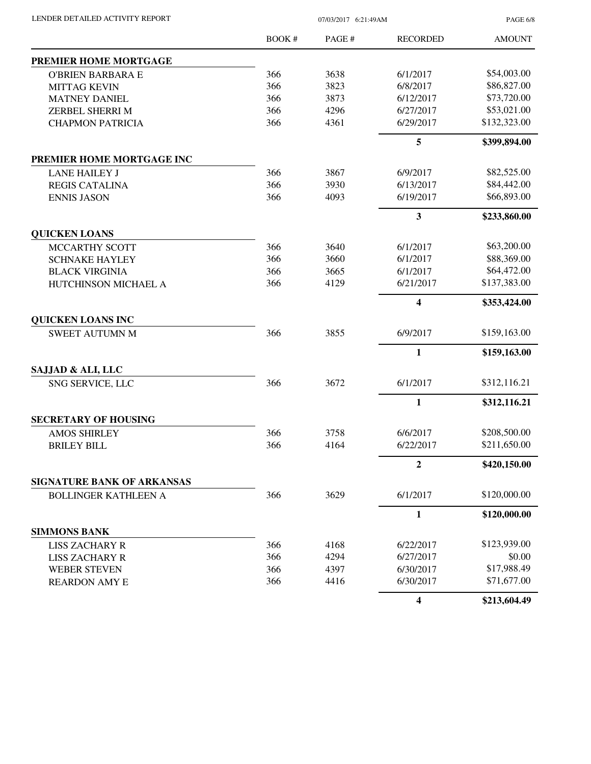| LENDER DETAILED ACTIVITY REPORT |  |
|---------------------------------|--|

07/03/2017 6:21:49AM

PAGE 6/8

|                                   | <b>BOOK#</b> | PAGE# | <b>RECORDED</b> | <b>AMOUNT</b> |
|-----------------------------------|--------------|-------|-----------------|---------------|
| PREMIER HOME MORTGAGE             |              |       |                 |               |
| <b>O'BRIEN BARBARA E</b>          | 366          | 3638  | 6/1/2017        | \$54,003.00   |
| <b>MITTAG KEVIN</b>               | 366          | 3823  | 6/8/2017        | \$86,827.00   |
| <b>MATNEY DANIEL</b>              | 366          | 3873  | 6/12/2017       | \$73,720.00   |
| ZERBEL SHERRI M                   | 366          | 4296  | 6/27/2017       | \$53,021.00   |
| <b>CHAPMON PATRICIA</b>           | 366          | 4361  | 6/29/2017       | \$132,323.00  |
|                                   |              |       | 5               | \$399,894.00  |
| PREMIER HOME MORTGAGE INC         |              |       |                 |               |
| <b>LANE HAILEY J</b>              | 366          | 3867  | 6/9/2017        | \$82,525.00   |
| <b>REGIS CATALINA</b>             | 366          | 3930  | 6/13/2017       | \$84,442.00   |
| <b>ENNIS JASON</b>                | 366          | 4093  | 6/19/2017       | \$66,893.00   |
|                                   |              |       | 3               | \$233,860.00  |
| <b>QUICKEN LOANS</b>              |              |       |                 |               |
| MCCARTHY SCOTT                    | 366          | 3640  | 6/1/2017        | \$63,200.00   |
| <b>SCHNAKE HAYLEY</b>             | 366          | 3660  | 6/1/2017        | \$88,369.00   |
| <b>BLACK VIRGINIA</b>             | 366          | 3665  | 6/1/2017        | \$64,472.00   |
| HUTCHINSON MICHAEL A              | 366          | 4129  | 6/21/2017       | \$137,383.00  |
|                                   |              |       | 4               | \$353,424.00  |
| <b>QUICKEN LOANS INC</b>          |              |       |                 |               |
| <b>SWEET AUTUMN M</b>             | 366          | 3855  | 6/9/2017        | \$159,163.00  |
|                                   |              |       | $\mathbf{1}$    | \$159,163.00  |
| SAJJAD & ALI, LLC                 |              |       |                 |               |
| SNG SERVICE, LLC                  | 366          | 3672  | 6/1/2017        | \$312,116.21  |
|                                   |              |       | $\mathbf{1}$    | \$312,116.21  |
| <b>SECRETARY OF HOUSING</b>       |              |       |                 |               |
| <b>AMOS SHIRLEY</b>               | 366          | 3758  | 6/6/2017        | \$208,500.00  |
| <b>BRILEY BILL</b>                | 366          | 4164  | 6/22/2017       | \$211,650.00  |
|                                   |              |       | 2               | \$420,150.00  |
| <b>SIGNATURE BANK OF ARKANSAS</b> |              |       |                 |               |
| <b>BOLLINGER KATHLEEN A</b>       | 366          | 3629  | 6/1/2017        | \$120,000.00  |
|                                   |              |       | 1               | \$120,000.00  |
| <b>SIMMONS BANK</b>               |              |       |                 |               |
| <b>LISS ZACHARY R</b>             | 366          | 4168  | 6/22/2017       | \$123,939.00  |
| <b>LISS ZACHARY R</b>             | 366          | 4294  | 6/27/2017       | \$0.00        |
| <b>WEBER STEVEN</b>               | 366          | 4397  | 6/30/2017       | \$17,988.49   |
| <b>REARDON AMY E</b>              | 366          | 4416  | 6/30/2017       | \$71,677.00   |
|                                   |              |       | 4               | \$213,604.49  |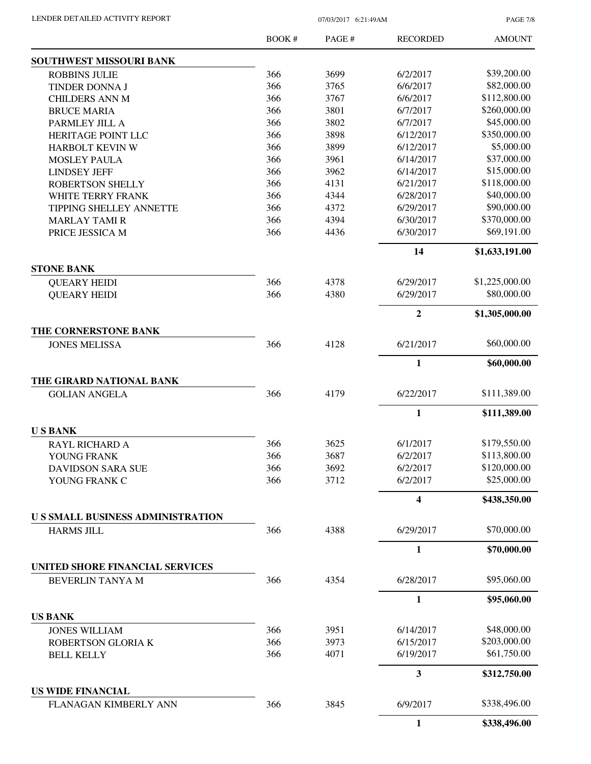PAGE 7/8

|                                              | <b>BOOK#</b> | PAGE# | <b>RECORDED</b> | <b>AMOUNT</b>  |
|----------------------------------------------|--------------|-------|-----------------|----------------|
| SOUTHWEST MISSOURI BANK                      |              |       |                 |                |
| <b>ROBBINS JULIE</b>                         | 366          | 3699  | 6/2/2017        | \$39,200.00    |
| TINDER DONNA J                               | 366          | 3765  | 6/6/2017        | \$82,000.00    |
| <b>CHILDERS ANN M</b>                        | 366          | 3767  | 6/6/2017        | \$112,800.00   |
| <b>BRUCE MARIA</b>                           | 366          | 3801  | 6/7/2017        | \$260,000.00   |
| PARMLEY JILL A                               | 366          | 3802  | 6/7/2017        | \$45,000.00    |
| HERITAGE POINT LLC                           | 366          | 3898  | 6/12/2017       | \$350,000.00   |
| HARBOLT KEVIN W                              | 366          | 3899  | 6/12/2017       | \$5,000.00     |
| <b>MOSLEY PAULA</b>                          | 366          | 3961  | 6/14/2017       | \$37,000.00    |
| <b>LINDSEY JEFF</b>                          | 366          | 3962  | 6/14/2017       | \$15,000.00    |
| <b>ROBERTSON SHELLY</b>                      | 366          | 4131  | 6/21/2017       | \$118,000.00   |
| WHITE TERRY FRANK                            | 366          | 4344  | 6/28/2017       | \$40,000.00    |
| TIPPING SHELLEY ANNETTE                      | 366          | 4372  | 6/29/2017       | \$90,000.00    |
| <b>MARLAY TAMI R</b>                         | 366          | 4394  | 6/30/2017       | \$370,000.00   |
| PRICE JESSICA M                              | 366          | 4436  | 6/30/2017       | \$69,191.00    |
|                                              |              |       | 14              | \$1,633,191.00 |
| <b>STONE BANK</b>                            |              |       |                 |                |
| <b>QUEARY HEIDI</b>                          | 366          | 4378  | 6/29/2017       | \$1,225,000.00 |
| <b>QUEARY HEIDI</b>                          | 366          | 4380  | 6/29/2017       | \$80,000.00    |
|                                              |              |       | $\overline{2}$  | \$1,305,000.00 |
| THE CORNERSTONE BANK<br><b>JONES MELISSA</b> | 366          | 4128  | 6/21/2017       | \$60,000.00    |
|                                              |              |       | $\mathbf{1}$    | \$60,000.00    |
| THE GIRARD NATIONAL BANK                     |              |       |                 |                |
| <b>GOLIAN ANGELA</b>                         | 366          | 4179  | 6/22/2017       | \$111,389.00   |
|                                              |              |       | 1               | \$111,389.00   |
| <b>USBANK</b>                                |              |       |                 |                |
| <b>RAYL RICHARD A</b>                        | 366          | 3625  | 6/1/2017        | \$179,550.00   |
| YOUNG FRANK                                  | 366          | 3687  | 6/2/2017        | \$113,800.00   |
| <b>DAVIDSON SARA SUE</b>                     | 366          | 3692  | 6/2/2017        | \$120,000.00   |
| YOUNG FRANK C                                | 366          | 3712  | 6/2/2017        | \$25,000.00    |
|                                              |              |       | 4               | \$438,350.00   |
| <b>US SMALL BUSINESS ADMINISTRATION</b>      |              |       |                 |                |
| <b>HARMS JILL</b>                            | 366          | 4388  | 6/29/2017       | \$70,000.00    |
|                                              |              |       | 1               | \$70,000.00    |
| UNITED SHORE FINANCIAL SERVICES              |              |       |                 |                |
| BEVERLIN TANYA M                             | 366          | 4354  | 6/28/2017       | \$95,060.00    |
|                                              |              |       | $\mathbf{1}$    | \$95,060.00    |
| <b>US BANK</b><br><b>JONES WILLIAM</b>       | 366          | 3951  | 6/14/2017       | \$48,000.00    |
| ROBERTSON GLORIA K                           | 366          | 3973  | 6/15/2017       | \$203,000.00   |
| <b>BELL KELLY</b>                            | 366          | 4071  | 6/19/2017       | \$61,750.00    |
|                                              |              |       | 3               |                |
| <b>US WIDE FINANCIAL</b>                     |              |       |                 | \$312,750.00   |
| FLANAGAN KIMBERLY ANN                        | 366          | 3845  | 6/9/2017        | \$338,496.00   |
|                                              |              |       | $\mathbf{1}$    | \$338,496.00   |